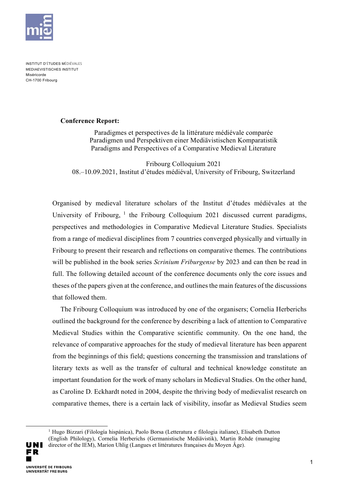

INSTITUT D'ÉTUDES MÉDIÉVALES MEDIAEVISTISCHES INSTITUT Miséricorde CH-1700 Fribourg

## **Conference Report:**

Paradigmes et perspectives de la littérature médiévale comparée Paradigmen und Perspektiven einer Mediävistischen Komparatistik Paradigms and Perspectives of a Comparative Medieval Literature

Fribourg Colloquium 2021 08.–10.09.2021, Institut d'études médiéval, University of Fribourg, Switzerland

Organised by medieval literature scholars of the Institut d'études médiévales at the University of Fribourg,  $1$  the Fribourg Colloquium 2021 discussed current paradigms, perspectives and methodologies in Comparative Medieval Literature Studies. Specialists from a range of medieval disciplines from 7 countries converged physically and virtually in Fribourg to present their research and reflections on comparative themes. The contributions will be published in the book series *Scrinium Friburgense* by 2023 and can then be read in full. The following detailed account of the conference documents only the core issues and theses of the papers given at the conference, and outlines the main features of the discussions that followed them.

The Fribourg Colloquium was introduced by one of the organisers; Cornelia Herberichs outlined the background for the conference by describing a lack of attention to Comparative Medieval Studies within the Comparative scientific community. On the one hand, the relevance of comparative approaches for the study of medieval literature has been apparent from the beginnings of this field; questions concerning the transmission and translations of literary texts as well as the transfer of cultural and technical knowledge constitute an important foundation for the work of many scholars in Medieval Studies. On the other hand, as Caroline D. Eckhardt noted in 2004, despite the thriving body of medievalist research on comparative themes, there is a certain lack of visibility, insofar as Medieval Studies seem

<span id="page-0-0"></span>UNI FR. UNIVERSITÉ DE ERIBOURG **UNIVERSITÄT FREIBURG** 

-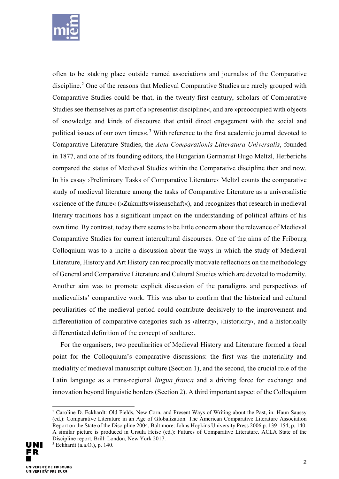

often to be »taking place outside named associations and journals« of the Comparative discipline.<sup>[2](#page-1-0)</sup> One of the reasons that Medieval Comparative Studies are rarely grouped with Comparative Studies could be that, in the twenty-first century, scholars of Comparative Studies see themselves as part of a »presentist discipline«, and are »preoccupied with objects of knowledge and kinds of discourse that entail direct engagement with the social and political issues of our own times«.<sup>[3](#page-1-1)</sup> With reference to the first academic journal devoted to Comparative Literature Studies, the *Acta Comparationis Litteratura Universalis*, founded in 1877, and one of its founding editors, the Hungarian Germanist Hugo Meltzl, Herberichs compared the status of Medieval Studies within the Comparative discipline then and now. In his essay ›Preliminary Tasks of Comparative Literature‹ Meltzl counts the comparative study of medieval literature among the tasks of Comparative Literature as a universalistic »science of the future« (»Zukunftswissenschaft«), and recognizes that research in medieval literary traditions has a significant impact on the understanding of political affairs of his own time. By contrast, today there seems to be little concern about the relevance of Medieval Comparative Studies for current intercultural discourses. One of the aims of the Fribourg Colloquium was to a incite a discussion about the ways in which the study of Medieval Literature, History and Art History can reciprocally motivate reflections on the methodology of General and Comparative Literature and Cultural Studies which are devoted to modernity. Another aim was to promote explicit discussion of the paradigms and perspectives of medievalists' comparative work. This was also to confirm that the historical and cultural peculiarities of the medieval period could contribute decisively to the improvement and differentiation of comparative categories such as *>alterity*, *>historicity*, and a historically differentiated definition of the concept of ›culture‹.

For the organisers, two peculiarities of Medieval History and Literature formed a focal point for the Colloquium's comparative discussions: the first was the materiality and mediality of medieval manuscript culture (Section 1), and the second, the crucial role of the Latin language as a trans-regional *lingua franca* and a driving force for exchange and innovation beyond linguistic borders (Section 2). A third important aspect of the Colloquium

j

<span id="page-1-1"></span><span id="page-1-0"></span><sup>&</sup>lt;sup>2</sup> Caroline D. Eckhardt: Old Fields, New Corn, and Present Ways of Writing about the Past, in: Haun Saussy (ed.): Comparative Literature in an Age of Globalization. The American Comparative Literature Association Report on the State of the Discipline 2004, Baltimore: Johns Hopkins University Press 2006 p. 139–154, p. 140. A similar picture is produced in Ursula Heise (ed.): Futures of Comparative Literature. ACLA State of the Discipline report, Brill: London, New York 2017.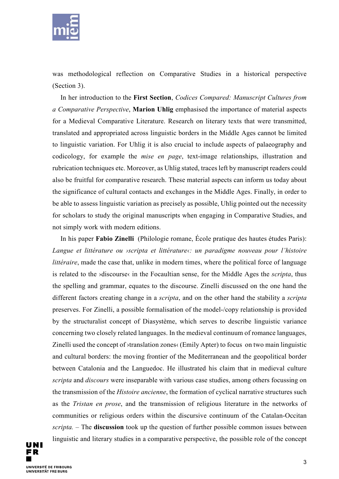

was methodological reflection on Comparative Studies in a historical perspective (Section 3).

In her introduction to the **First Section**, *Codices Compared: Manuscript Cultures from a Comparative Perspective*, **Marion Uhlig** emphasised the importance of material aspects for a Medieval Comparative Literature. Research on literary texts that were transmitted, translated and appropriated across linguistic borders in the Middle Ages cannot be limited to linguistic variation. For Uhlig it is also crucial to include aspects of palaeography and codicology, for example the *mise en page*, text-image relationships, illustration and rubrication techniques etc. Moreover, as Uhlig stated, traces left by manuscript readers could also be fruitful for comparative research. These material aspects can inform us today about the significance of cultural contacts and exchanges in the Middle Ages. Finally, in order to be able to assess linguistic variation as precisely as possible, Uhlig pointed out the necessity for scholars to study the original manuscripts when engaging in Comparative Studies, and not simply work with modern editions.

In his paper **Fabio Zinelli** (Philologie romane, École pratique des hautes études Paris): *Langue et littérature ou ›scripta et littérature‹: un paradigme nouveau pour l'histoire littéraire*, made the case that, unlike in modern times, where the political force of language is related to the ›discourse‹ in the Focaultian sense, for the Middle Ages the *scripta*, thus the spelling and grammar, equates to the discourse. Zinelli discussed on the one hand the different factors creating change in a *scripta*, and on the other hand the stability a *scripta* preserves. For Zinelli, a possible formalisation of the model-/copy relationship is provided by the structuralist concept of Diasystème, which serves to describe linguistic variance concerning two closely related languages. In the medieval continuum of romance languages, Zinelli used the concept of ›translation zones‹ (Emily Apter) to focus on two main linguistic and cultural borders: the moving frontier of the Mediterranean and the geopolitical border between Catalonia and the Languedoc. He illustrated his claim that in medieval culture *scripta* and *discours* were inseparable with various case studies, among others focussing on the transmission of the *Histoire ancienne*, the formation of cyclical narrative structures such as the *Tristan en prose*, and the transmission of religious literature in the networks of communities or religious orders within the discursive continuum of the Catalan-Occitan *scripta.* – The **discussion** took up the question of further possible common issues between linguistic and literary studies in a comparative perspective, the possible role of the concept

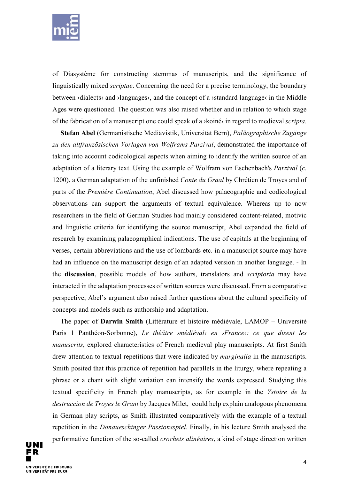

of Diasystème for constructing stemmas of manuscripts, and the significance of linguistically mixed *scriptae*. Concerning the need for a precise terminology, the boundary between ›dialects‹ and ›languages‹, and the concept of a ›standard language‹ in the Middle Ages were questioned. The question was also raised whether and in relation to which stage of the fabrication of a manuscript one could speak of a ›koiné‹ in regard to medieval *scripta*.

**Stefan Abel** (Germanistische Mediävistik, Universität Bern), *Paläographische Zugänge zu den altfranzösischen Vorlagen von Wolframs Parzival*, demonstrated the importance of taking into account codicological aspects when aiming to identify the written source of an adaptation of a literary text. Using the example of Wolfram von Eschenbach's *Parzival* (*c*. 1200), a German adaptation of the unfinished *Conte du Graal* by Chrétien de Troyes and of parts of the *Première Continuation*, Abel discussed how palaeographic and codicological observations can support the arguments of textual equivalence. Whereas up to now researchers in the field of German Studies had mainly considered content-related, motivic and linguistic criteria for identifying the source manuscript, Abel expanded the field of research by examining palaeographical indications. The use of capitals at the beginning of verses, certain abbreviations and the use of lombards etc. in a manuscript source may have had an influence on the manuscript design of an adapted version in another language. - In the **discussion**, possible models of how authors, translators and *scriptoria* may have interacted in the adaptation processes of written sources were discussed. From a comparative perspective, Abel's argument also raised further questions about the cultural specificity of concepts and models such as authorship and adaptation.

The paper of **Darwin Smith** (Littérature et histoire médiévale, LAMOP – Université Paris 1 Panthéon-Sorbonne), *Le théâtre ›médiéval‹ en ›France‹: ce que disent les manuscrits*, explored characteristics of French medieval play manuscripts. At first Smith drew attention to textual repetitions that were indicated by *marginalia* in the manuscripts. Smith posited that this practice of repetition had parallels in the liturgy, where repeating a phrase or a chant with slight variation can intensify the words expressed. Studying this textual specificity in French play manuscripts, as for example in the *Ystoire de la destruccion de Troyes le Grant* by Jacques Milet, could help explain analogous phenomena in German play scripts, as Smith illustrated comparatively with the example of a textual repetition in the *Donaueschinger Passionsspiel*. Finally, in his lecture Smith analysed the performative function of the so-called *crochets alinéaires*, a kind of stage direction written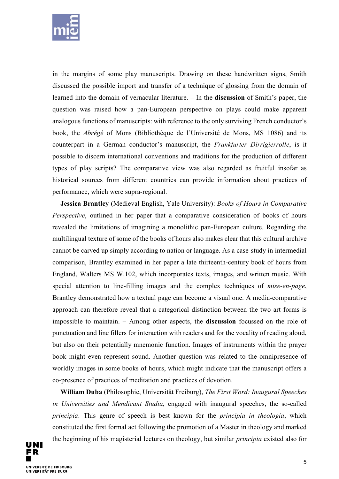

in the margins of some play manuscripts. Drawing on these handwritten signs, Smith discussed the possible import and transfer of a technique of glossing from the domain of learned into the domain of vernacular literature. – In the **discussion** of Smith's paper, the question was raised how a pan-European perspective on plays could make apparent analogous functions of manuscripts: with reference to the only surviving French conductor's book, the *Abrégé* of Mons (Bibliothèque de l'Université de Mons, MS 1086) and its counterpart in a German conductor's manuscript, the *Frankfurter Dirrigierrolle*, is it possible to discern international conventions and traditions for the production of different types of play scripts? The comparative view was also regarded as fruitful insofar as historical sources from different countries can provide information about practices of performance, which were supra-regional.

**Jessica Brantley** (Medieval English, Yale University): *Books of Hours in Comparative Perspective*, outlined in her paper that a comparative consideration of books of hours revealed the limitations of imagining a monolithic pan-European culture. Regarding the multilingual texture of some of the books of hours also makes clear that this cultural archive cannot be carved up simply according to nation or language. As a case-study in intermedial comparison, Brantley examined in her paper a late thirteenth-century book of hours from England, Walters MS W.102, which incorporates texts, images, and written music. With special attention to line-filling images and the complex techniques of *mise-en-page*, Brantley demonstrated how a textual page can become a visual one. A media-comparative approach can therefore reveal that a categorical distinction between the two art forms is impossible to maintain. – Among other aspects, the **discussion** focussed on the role of punctuation and line fillers for interaction with readers and for the vocality of reading aloud, but also on their potentially mnemonic function. Images of instruments within the prayer book might even represent sound. Another question was related to the omnipresence of worldly images in some books of hours, which might indicate that the manuscript offers a co-presence of practices of meditation and practices of devotion.

**William Duba** (Philosophie, Universität Freiburg), *The First Word: Inaugural Speeches in Universities and Mendicant Studia*, engaged with inaugural speeches, the so-called *principia*. This genre of speech is best known for the *principia in theologia*, which constituted the first formal act following the promotion of a Master in theology and marked the beginning of his magisterial lectures on theology, but similar *principia* existed also for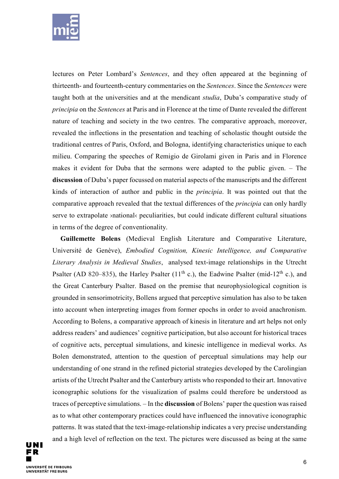

lectures on Peter Lombard's *Sentences*, and they often appeared at the beginning of thirteenth- and fourteenth-century commentaries on the *Sentences*. Since the *Sentences* were taught both at the universities and at the mendicant *studia*, Duba's comparative study of *principia* on the *Sentences* at Paris and in Florence at the time of Dante revealed the different nature of teaching and society in the two centres. The comparative approach, moreover, revealed the inflections in the presentation and teaching of scholastic thought outside the traditional centres of Paris, Oxford, and Bologna, identifying characteristics unique to each milieu. Comparing the speeches of Remigio de Girolami given in Paris and in Florence makes it evident for Duba that the sermons were adapted to the public given. – The **discussion** of Duba's paper focussed on material aspects of the manuscripts and the different kinds of interaction of author and public in the *principia*. It was pointed out that the comparative approach revealed that the textual differences of the *principia* can only hardly serve to extrapolate >national< peculiarities, but could indicate different cultural situations in terms of the degree of conventionality.

**Guillemette Bolens** (Medieval English Literature and Comparative Literature, Université de Genève), *Embodied Cognition, Kinesic Intelligence, and Comparative Literary Analysis in Medieval Studies*, analysed text-image relationships in the Utrecht Psalter (AD 820–835), the Harley Psalter (11<sup>th</sup> c.), the Eadwine Psalter (mid-12<sup>th</sup> c.), and the Great Canterbury Psalter. Based on the premise that neurophysiological cognition is grounded in sensorimotricity, Bollens argued that perceptive simulation has also to be taken into account when interpreting images from former epochs in order to avoid anachronism. According to Bolens, a comparative approach of kinesis in literature and art helps not only address readers' and audiences' cognitive participation, but also account for historical traces of cognitive acts, perceptual simulations, and kinesic intelligence in medieval works. As Bolen demonstrated, attention to the question of perceptual simulations may help our understanding of one strand in the refined pictorial strategies developed by the Carolingian artists of the Utrecht Psalter and the Canterbury artists who responded to their art. Innovative iconographic solutions for the visualization of psalms could therefore be understood as traces of perceptive simulations. – In the **discussion** of Bolens' paper the question was raised as to what other contemporary practices could have influenced the innovative iconographic patterns. It was stated that the text-image-relationship indicates a very precise understanding and a high level of reflection on the text. The pictures were discussed as being at the same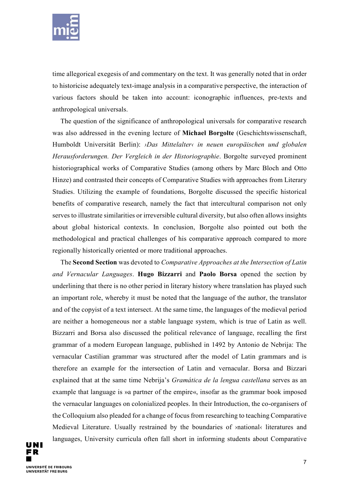

time allegorical exegesis of and commentary on the text. It was generally noted that in order to historicise adequately text-image analysis in a comparative perspective, the interaction of various factors should be taken into account: iconographic influences, pre-texts and anthropological universals.

The question of the significance of anthropological universals for comparative research was also addressed in the evening lecture of **Michael Borgolte** (Geschichtswissenschaft, Humboldt Universität Berlin): *›Das Mittelalter‹ in neuen europäischen und globalen Herausforderungen. Der Vergleich in der Historiographie*. Borgolte surveyed prominent historiographical works of Comparative Studies (among others by Marc Bloch and Otto Hinze) and contrasted their concepts of Comparative Studies with approaches from Literary Studies. Utilizing the example of foundations, Borgolte discussed the specific historical benefits of comparative research, namely the fact that intercultural comparison not only serves to illustrate similarities or irreversible cultural diversity, but also often allows insights about global historical contexts. In conclusion, Borgolte also pointed out both the methodological and practical challenges of his comparative approach compared to more regionally historically oriented or more traditional approaches.

The **Second Section** was devoted to *Comparative Approaches at the Intersection of Latin and Vernacular Languages*. **Hugo Bizzarri** and **Paolo Borsa** opened the section by underlining that there is no other period in literary history where translation has played such an important role, whereby it must be noted that the language of the author, the translator and of the copyist of a text intersect. At the same time, the languages of the medieval period are neither a homogeneous nor a stable language system, which is true of Latin as well. Bizzarri and Borsa also discussed the political relevance of language, recalling the first grammar of a modern European language, published in 1492 by Antonio de Nebrija: The vernacular Castilian grammar was structured after the model of Latin grammars and is therefore an example for the intersection of Latin and vernacular. Borsa and Bizzari explained that at the same time Nebrija's *Gramática de la lengua castellana* serves as an example that language is »a partner of the empire«, insofar as the grammar book imposed the vernacular languages on colonialized peoples. In their Introduction, the co-organisers of the Colloquium also pleaded for a change of focus from researching to teaching Comparative Medieval Literature. Usually restrained by the boundaries of ›national‹ literatures and languages, University curricula often fall short in informing students about Comparative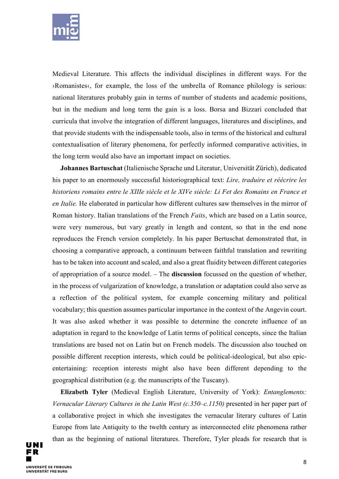

Medieval Literature. This affects the individual disciplines in different ways. For the ›Romanistes‹, for example, the loss of the umbrella of Romance philology is serious: national literatures probably gain in terms of number of students and academic positions, but in the medium and long term the gain is a loss. Borsa and Bizzari concluded that curricula that involve the integration of different languages, literatures and disciplines, and that provide students with the indispensable tools, also in terms of the historical and cultural contextualisation of literary phenomena, for perfectly informed comparative activities, in the long term would also have an important impact on societies.

**Johannes Bartuschat** (Italienische Sprache und Literatur, Universität Zürich), dedicated his paper to an enormously successful historiographical text: *Lire, traduire et réécrire les historiens romains entre le XIIIe siècle et le XIVe siècle: Li Fet des Romains en France et en Italie.* He elaborated in particular how different cultures saw themselves in the mirror of Roman history. Italian translations of the French *Faits*, which are based on a Latin source, were very numerous, but vary greatly in length and content, so that in the end none reproduces the French version completely. In his paper Bertuschat demonstrated that, in choosing a comparative approach, a continuum between faithful translation and rewriting has to be taken into account and scaled, and also a great fluidity between different categories of appropriation of a source model. – The **discussion** focussed on the question of whether, in the process of vulgarization of knowledge, a translation or adaptation could also serve as a reflection of the political system, for example concerning military and political vocabulary; this question assumes particular importance in the context of the Angevin court. It was also asked whether it was possible to determine the concrete influence of an adaptation in regard to the knowledge of Latin terms of political concepts, since the Italian translations are based not on Latin but on French models. The discussion also touched on possible different reception interests, which could be political-ideological, but also epicentertaining: reception interests might also have been different depending to the geographical distribution (e.g. the manuscripts of the Tuscany).

**Elizabeth Tyler** (Medieval English Literature, University of York): *Entanglements: Vernacular Literary Cultures in the Latin West (c.350–c.1150)* presented in her paper part of a collaborative project in which she investigates the vernacular literary cultures of Latin Europe from late Antiquity to the twelth century as interconnected elite phenomena rather than as the beginning of national literatures. Therefore, Tyler pleads for research that is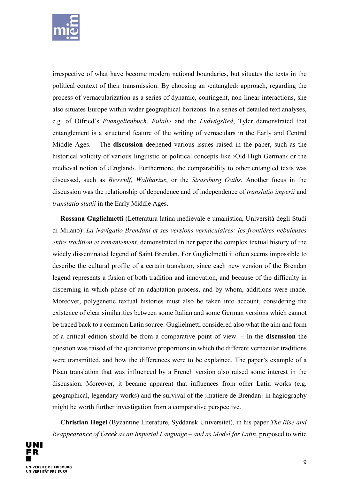

irrespective of what have become modern national boundaries, but situates the texts in the political context of their transmission: By choosing an ›entangled‹ approach, regarding the process of vernacularization as a series of dynamic, contingent, non-linear interactions, she also situates Europe within wider geographical horizons. In a series of detailed text analyses, e.g. of Otfried's *Evangelienbuch*, *Eulalie* and the *Ludwigslied*, Tyler demonstrated that entanglement is a structural feature of the writing of vernaculars in the Early and Central Middle Ages. – The **discussion** deepened various issues raised in the paper, such as the historical validity of various linguistic or political concepts like ›Old High German‹ or the medieval notion of ›England‹. Furthermore, the comparability to other entangled texts was discussed, such as *Beowulf, Waltharius*, or the *Strassburg Oaths.* Another focus in the discussion was the relationship of dependence and of independence of *translatio imperii* and *translatio studii* in the Early Middle Ages.

**Rossana Guglielmetti** (Letteratura latina medievale e umanistica, Università degli Studi di Milano): *La Navigatio Brendani et ses versions vernaculaires: les frontières nébuleuses entre tradition et remaniement*, demonstrated in her paper the complex textual history of the widely disseminated legend of Saint Brendan. For Guglielmetti it often seems impossible to describe the cultural profile of a certain translator, since each new version of the Brendan legend represents a fusion of both tradition and innovation, and because of the difficulty in discerning in which phase of an adaptation process, and by whom, additions were made. Moreover, polygenetic textual histories must also be taken into account, considering the existence of clear similarities between some Italian and some German versions which cannot be traced back to a common Latin source. Guglielmetti considered also what the aim and form of a critical edition should be from a comparative point of view. – In the **discussion** the question was raised of the quantitative proportions in which the different vernacular traditions were transmitted, and how the differences were to be explained. The paper's example of a Pisan translation that was influenced by a French version also raised some interest in the discussion. Moreover, it became apparent that influences from other Latin works (e.g. geographical, legendary works) and the survival of the ›matiére de Brendan‹ in hagiography might be worth further investigation from a comparative perspective.

**Christian Høgel** (Byzantine Literature, Syddansk Universitet), in his paper *The Rise and Reappearance of Greek as an Imperial Language – and as Model for Latin*, proposed to write

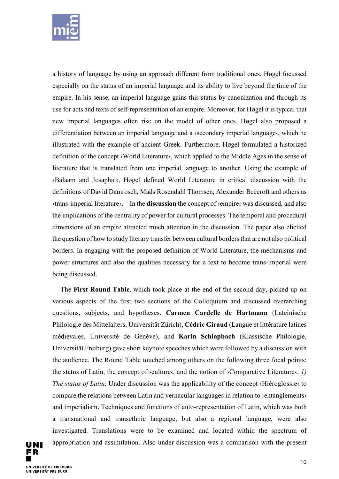

a history of language by using an approach different from traditional ones. Høgel focussed especially on the status of an imperial language and its ability to live beyond the time of the empire. In his sense, an imperial language gains this status by canonization and through its use for acts and texts of self-representation of an empire. Moreover, for Høgel it is typical that new imperial languages often rise on the model of other ones. Høgel also proposed a differentiation between an imperial language and a ›secondary imperial language‹, which he illustrated with the example of ancient Greek. Furthermore, Høgel formulated a historized definition of the concept ›World Literature‹, which applied to the Middle Ages in the sense of literature that is translated from one imperial language to another. Using the example of ›Balaam and Josaphat‹, Høgel defined World Literature in critical discussion with the definitions of David Damrosch, Mads Rosendahl Thomsen, Alexander Beecroft and others as ›trans-imperial literature‹. – In the **discussion** the concept of ›empire‹ was discussed, and also the implications of the centrality of power for cultural processes. The temporal and procedural dimensions of an empire attracted much attention in the discussion. The paper also elicited the question of how to study literary transfer between cultural borders that are not also political borders. In engaging with the proposed definition of World Literature, the mechanisms and power structures and also the qualities necessary for a text to become trans-imperial were being discussed.

The **First Round Table**, which took place at the end of the second day, picked up on various aspects of the first two sections of the Colloquium and discussed overarching questions, subjects, and hypotheses. **Carmen Cardelle de Hartmann** (Lateinische Philologie des Mittelalters, Universität Zürich), **Cédric Giraud** (Langue et littérature latines médiévales, Université de Genève), and **Karin Schlapbach** (Klassische Philologie, Universität Freiburg) gave short keynote speeches which were followed by a discussion with the audience. The Round Table touched among others on the following three focal points: the status of Latin, the concept of ›culture‹, and the notion of ›Comparative Literature‹. *1) The status of Latin*: Under discussion was the applicability of the concept >Hiéroglossie(to compare the relations between Latin and vernacular languages in relation to ›entanglements‹ and imperialism. Techniques and functions of auto-representation of Latin, which was both a transnational and transethnic language, but also a regional language, were also investigated. Translations were to be examined and located within the spectrum of appropriation and assimilation. Also under discussion was a comparison with the present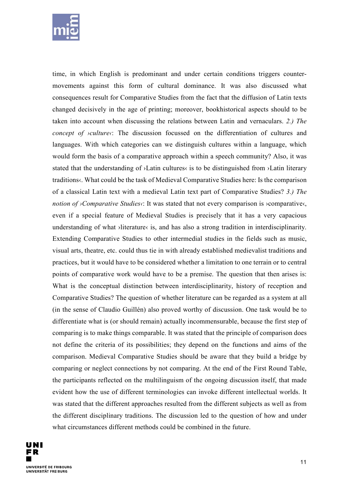

time, in which English is predominant and under certain conditions triggers countermovements against this form of cultural dominance. It was also discussed what consequences result for Comparative Studies from the fact that the diffusion of Latin texts changed decisively in the age of printing; moreover, bookhistorical aspects should to be taken into account when discussing the relations between Latin and vernaculars. *2.) The concept of >culture(*: The discussion focussed on the differentiation of cultures and languages. With which categories can we distinguish cultures within a language, which would form the basis of a comparative approach within a speech community? Also, it was stated that the understanding of ›Latin cultures‹ is to be distinguished from ›Latin literary traditions‹. What could be the task of Medieval Comparative Studies here: Is the comparison of a classical Latin text with a medieval Latin text part of Comparative Studies? *3.) The notion of ›Comparative Studies‹*: It was stated that not every comparison is ›comparative‹, even if a special feature of Medieval Studies is precisely that it has a very capacious understanding of what >literature< is, and has also a strong tradition in interdisciplinarity. Extending Comparative Studies to other intermedial studies in the fields such as music, visual arts, theatre, etc. could thus tie in with already established medievalist traditions and practices, but it would have to be considered whether a limitation to one terrain or to central points of comparative work would have to be a premise. The question that then arises is: What is the conceptual distinction between interdisciplinarity, history of reception and Comparative Studies? The question of whether literature can be regarded as a system at all (in the sense of Claudio Guillén) also proved worthy of discussion. One task would be to differentiate what is (or should remain) actually incommensurable, because the first step of comparing is to make things comparable. It was stated that the principle of comparison does not define the criteria of its possibilities; they depend on the functions and aims of the comparison. Medieval Comparative Studies should be aware that they build a bridge by comparing or neglect connections by not comparing. At the end of the First Round Table, the participants reflected on the multilinguism of the ongoing discussion itself, that made evident how the use of different terminologies can invoke different intellectual worlds. It was stated that the different approaches resulted from the different subjects as well as from the different disciplinary traditions. The discussion led to the question of how and under what circumstances different methods could be combined in the future.

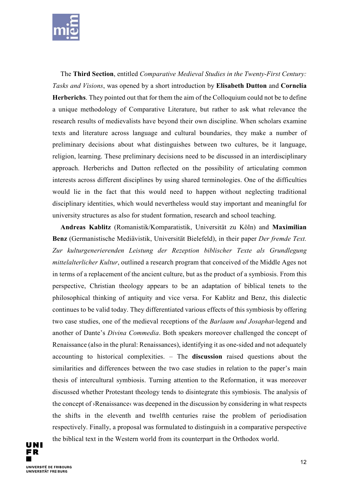

The **Third Section**, entitled *Comparative Medieval Studies in the Twenty-First Century: Tasks and Visions*, was opened by a short introduction by **Elisabeth Dutton** and **Cornelia Herberichs**. They pointed out that for them the aim of the Colloquium could not be to define a unique methodology of Comparative Literature, but rather to ask what relevance the research results of medievalists have beyond their own discipline. When scholars examine texts and literature across language and cultural boundaries, they make a number of preliminary decisions about what distinguishes between two cultures, be it language, religion, learning. These preliminary decisions need to be discussed in an interdisciplinary approach. Herberichs and Dutton reflected on the possibility of articulating common interests across different disciplines by using shared terminologies. One of the difficulties would lie in the fact that this would need to happen without neglecting traditional disciplinary identities, which would nevertheless would stay important and meaningful for university structures as also for student formation, research and school teaching.

**Andreas Kablitz** (Romanistik/Komparatistik, Universität zu Köln) and **Maximilian Benz** (Germanistische Mediävistik, Universität Bielefeld), in their paper *Der fremde Text. Zur kulturgenerierenden Leistung der Rezeption biblischer Texte als Grundlegung mittelalterlicher Kultur*, outlined a research program that conceived of the Middle Ages not in terms of a replacement of the ancient culture, but as the product of a symbiosis. From this perspective, Christian theology appears to be an adaptation of biblical tenets to the philosophical thinking of antiquity and vice versa. For Kablitz and Benz, this dialectic continues to be valid today. They differentiated various effects of this symbiosis by offering two case studies, one of the medieval receptions of the *Barlaam und Josaphat*-legend and another of Dante's *Divina Commedia*. Both speakers moreover challenged the concept of Renaissance (also in the plural: Renaissances), identifying it as one-sided and not adequately accounting to historical complexities. – The **discussion** raised questions about the similarities and differences between the two case studies in relation to the paper's main thesis of intercultural symbiosis. Turning attention to the Reformation, it was moreover discussed whether Protestant theology tends to disintegrate this symbiosis. The analysis of the concept of ›Renaissance‹ was deepened in the discussion by considering in what respects the shifts in the eleventh and twelfth centuries raise the problem of periodisation respectively. Finally, a proposal was formulated to distinguish in a comparative perspective the biblical text in the Western world from its counterpart in the Orthodox world.

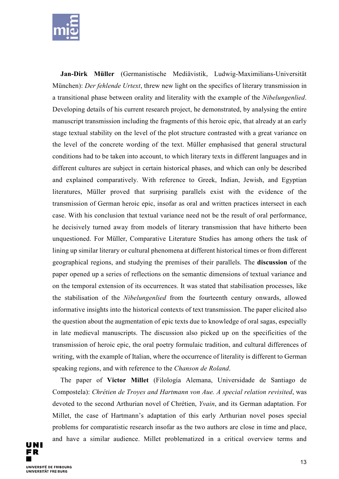

**Jan-Dirk Müller** (Germanistische Mediävistik, Ludwig-Maximilians-Universität München): *Der fehlende Urtext*, threw new light on the specifics of literary transmission in a transitional phase between orality and literality with the example of the *Nibelungenlied*. Developing details of his current research project, he demonstrated, by analysing the entire manuscript transmission including the fragments of this heroic epic, that already at an early stage textual stability on the level of the plot structure contrasted with a great variance on the level of the concrete wording of the text. Müller emphasised that general structural conditions had to be taken into account, to which literary texts in different languages and in different cultures are subject in certain historical phases, and which can only be described and explained comparatively. With reference to Greek, Indian, Jewish, and Egyptian literatures, Müller proved that surprising parallels exist with the evidence of the transmission of German heroic epic, insofar as oral and written practices intersect in each case. With his conclusion that textual variance need not be the result of oral performance, he decisively turned away from models of literary transmission that have hitherto been unquestioned. For Müller, Comparative Literature Studies has among others the task of lining up similar literary or cultural phenomena at different historical times or from different geographical regions, and studying the premises of their parallels. The **discussion** of the paper opened up a series of reflections on the semantic dimensions of textual variance and on the temporal extension of its occurrences. It was stated that stabilisation processes, like the stabilisation of the *Nibelungenlied* from the fourteenth century onwards, allowed informative insights into the historical contexts of text transmission. The paper elicited also the question about the augmentation of epic texts due to knowledge of oral sagas, especially in late medieval manuscripts. The discussion also picked up on the specificities of the transmission of heroic epic, the oral poetry formulaic tradition, and cultural differences of writing, with the example of Italian, where the occurrence of literality is different to German speaking regions, and with reference to the *Chanson de Roland*.

The paper of **Victor Millet** (Filología Alemana, Universidade de Santiago de Compostela): *Chrétien de Troyes and Hartmann von Aue. A special relation revisited*, was devoted to the second Arthurian novel of Chrétien, *Yvain*, and its German adaptation. For Millet, the case of Hartmann's adaptation of this early Arthurian novel poses special problems for comparatistic research insofar as the two authors are close in time and place, and have a similar audience. Millet problematized in a critical overview terms and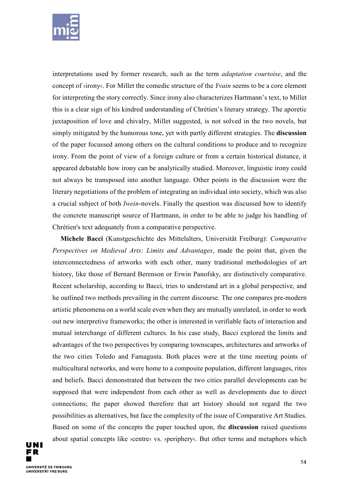

interpretations used by former research, such as the term *adaptation courtoise*, and the concept of ›irony‹. For Millet the comedic structure of the *Yvain* seems to be a core element for interpreting the story correctly. Since irony also characterizes Hartmann's text, to Millet this is a clear sign of his kindred understanding of Chrétien's literary strategy. The aporetic juxtaposition of love and chivalry, Millet suggested, is not solved in the two novels, but simply mitigated by the humorous tone, yet with partly different strategies. The **discussion** of the paper focussed among others on the cultural conditions to produce and to recognize irony. From the point of view of a foreign culture or from a certain historical distance, it appeared debatable how irony can be analytically studied. Moreover, linguistic irony could not always be transposed into another language. Other points in the discussion were the literary negotiations of the problem of integrating an individual into society, which was also a crucial subject of both *Iwein*-novels. Finally the question was discussed how to identify the concrete manuscript source of Hartmann, in order to be able to judge his handling of Chrétien's text adequately from a comparative perspective.

**Michele Bacci** (Kunstgeschichte des Mittelalters, Universität Freiburg): *Comparative Perspectives on Medieval Arts: Limits and Advantages*, made the point that, given the interconnectedness of artworks with each other, many traditional methodologies of art history, like those of Bernard Berenson or Erwin Panofsky, are distinctively comparative. Recent scholarship, according to Bacci, tries to understand art in a global perspective, and he outlined two methods prevailing in the current discourse. The one compares pre-modern artistic phenomena on a world scale even when they are mutually unrelated, in order to work out new interpretive frameworks; the other is interested in verifiable facts of interaction and mutual interchange of different cultures. In his case study, Bacci explored the limits and advantages of the two perspectives by comparing townscapes, architectures and artworks of the two cities Toledo and Famagusta. Both places were at the time meeting points of multicultural networks, and were home to a composite population, different languages, rites and beliefs. Bacci demonstrated that between the two cities parallel developments can be supposed that were independent from each other as well as developments due to direct connections; the paper showed therefore that art history should not regard the two possibilities as alternatives, but face the complexity of the issue of Comparative Art Studies. Based on some of the concepts the paper touched upon, the **discussion** raised questions about spatial concepts like *>centre*< vs. *>periphery*<. But other terms and metaphors which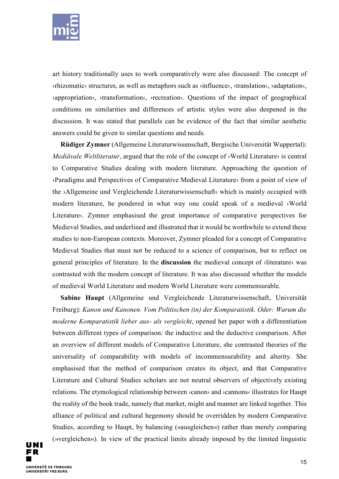

art history traditionally uses to work comparatively were also discussed: The concept of ›rhizomatic‹ structures, as well as metaphors such as ›influence‹, ›translation‹, ›adaptation‹, ›appropriation‹, ›transformation‹, ›recreation‹. Questions of the impact of geographical conditions on similarities and differences of artistic styles were also deepened in the discussion. It was stated that parallels can be evidence of the fact that similar aesthetic answers could be given to similar questions and needs.

**Rüdiger Zymner** (Allgemeine Literaturwissenschaft, Bergische Universität Wuppertal): *Mediävale Weltliteratur*, argued that the role of the concept of >World Literature< is central to Comparative Studies dealing with modern literature. Approaching the question of ›Paradigms and Perspectives of Comparative Medieval Literature‹ from a point of view of the ›Allgemeine und Vergleichende Literaturwissenschaft‹ which is mainly occupied with modern literature, he pondered in what way one could speak of a medieval ›World Literature . Zymner emphasised the great importance of comparative perspectives for Medieval Studies, and underlined and illustrated that it would be worthwhile to extend these studies to non-European contexts. Moreover, Zymner pleaded for a concept of Comparative Medieval Studies that must not be reduced to a science of comparison, but to reflect on general principles of literature. In the **discussion** the medieval concept of ›literature‹ was contrasted with the modern concept of literature. It was also discussed whether the models of medieval World Literature and modern World Literature were commensurable.

**Sabine Haupt** (Allgemeine und Vergleichende Literaturwissenschaft, Universität Freiburg): *Kanon und Kanonen. Vom Politischen (in) der Komparatistik. Oder: Warum die moderne Komparatistik lieber aus- als vergleicht*, opened her paper with a differentiation between different types of comparison: the inductive and the deductive comparison. After an overview of different models of Comparative Literature, she contrasted theories of the universality of comparability with models of incommensurability and alterity. She emphasised that the method of comparison creates its object, and that Comparative Literature and Cultural Studies scholars are not neutral observers of objectively existing relations. The etymological relationship between  $\alpha$  and  $\alpha$  and  $\alpha$  annons illustrates for Haupt the reality of the book trade, namely that market, might and manner are linked together. This alliance of political and cultural hegemony should be overridden by modern Comparative Studies, according to Haupt, by balancing (»ausgleichen«) rather than merely comparing (»vergleichen«). In view of the practical limits already imposed by the limited linguistic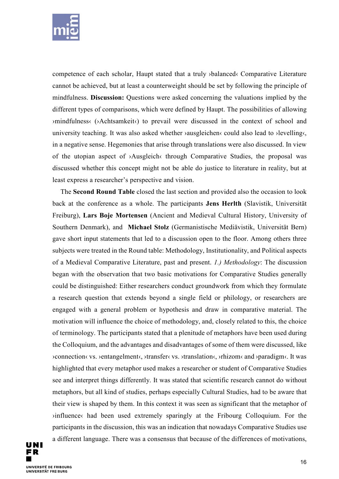

competence of each scholar, Haupt stated that a truly ›balanced‹ Comparative Literature cannot be achieved, but at least a counterweight should be set by following the principle of mindfulness. **Discussion:** Questions were asked concerning the valuations implied by the different types of comparisons, which were defined by Haupt. The possibilities of allowing ›mindfulness‹ (›Achtsamkeit‹) to prevail were discussed in the context of school and university teaching. It was also asked whether ›ausgleichen‹ could also lead to ›levelling‹, in a negative sense. Hegemonies that arise through translations were also discussed. In view of the utopian aspect of ›Ausgleich‹ through Comparative Studies, the proposal was discussed whether this concept might not be able do justice to literature in reality, but at least express a researcher's perspective and vision.

The **Second Round Table** closed the last section and provided also the occasion to look back at the conference as a whole. The participants **Jens Herlth** (Slavistik, Universität Freiburg), **Lars Boje Mortensen** (Ancient and Medieval Cultural History, University of Southern Denmark), and **Michael Stolz** (Germanistische Mediävistik, Universität Bern) gave short input statements that led to a discussion open to the floor. Among others three subjects were treated in the Round table: Methodology, Institutionality, and Political aspects of a Medieval Comparative Literature, past and present. *1.) Methodology*: The discussion began with the observation that two basic motivations for Comparative Studies generally could be distinguished: Either researchers conduct groundwork from which they formulate a research question that extends beyond a single field or philology, or researchers are engaged with a general problem or hypothesis and draw in comparative material. The motivation will influence the choice of methodology, and, closely related to this, the choice of terminology. The participants stated that a plenitude of metaphors have been used during the Colloquium, and the advantages and disadvantages of some of them were discussed, like ›connection‹ vs. ›entangelment‹, ›transfer‹ vs. ›translation‹, ›rhizom‹ and ›paradigm‹. It was highlighted that every metaphor used makes a researcher or student of Comparative Studies see and interpret things differently. It was stated that scientific research cannot do without metaphors, but all kind of studies, perhaps especially Cultural Studies, had to be aware that their view is shaped by them. In this context it was seen as significant that the metaphor of  $\phi$ influence $\phi$  had been used extremely sparingly at the Fribourg Colloquium. For the participants in the discussion, this was an indication that nowadays Comparative Studies use a different language. There was a consensus that because of the differences of motivations,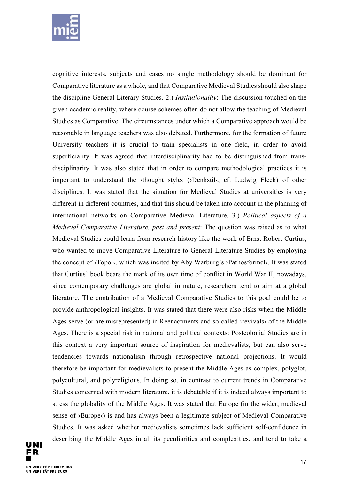

cognitive interests, subjects and cases no single methodology should be dominant for Comparative literature as a whole, and that Comparative Medieval Studies should also shape the discipline General Literary Studies*.* 2.) *Institutionality*: The discussion touched on the given academic reality, where course schemes often do not allow the teaching of Medieval Studies as Comparative. The circumstances under which a Comparative approach would be reasonable in language teachers was also debated. Furthermore, for the formation of future University teachers it is crucial to train specialists in one field, in order to avoid superficiality. It was agreed that interdisciplinarity had to be distinguished from transdisciplinarity. It was also stated that in order to compare methodological practices it is important to understand the ›thought style‹ (›Denkstil‹, cf. Ludwig Fleck) of other disciplines. It was stated that the situation for Medieval Studies at universities is very different in different countries, and that this should be taken into account in the planning of international networks on Comparative Medieval Literature. 3.) *Political aspects of a Medieval Comparative Literature, past and present*: The question was raised as to what Medieval Studies could learn from research history like the work of Ernst Robert Curtius, who wanted to move Comparative Literature to General Literature Studies by employing the concept of >Topoi<, which was incited by Aby Warburg's >Pathosformel<. It was stated that Curtius' book bears the mark of its own time of conflict in World War II; nowadays, since contemporary challenges are global in nature, researchers tend to aim at a global literature. The contribution of a Medieval Comparative Studies to this goal could be to provide anthropological insights. It was stated that there were also risks when the Middle Ages serve (or are misrepresented) in Reenactments and so-called ›revivals‹ of the Middle Ages. There is a special risk in national and political contexts: Postcolonial Studies are in this context a very important source of inspiration for medievalists, but can also serve tendencies towards nationalism through retrospective national projections. It would therefore be important for medievalists to present the Middle Ages as complex, polyglot, polycultural, and polyreligious. In doing so, in contrast to current trends in Comparative Studies concerned with modern literature, it is debatable if it is indeed always important to stress the globality of the Middle Ages. It was stated that Europe (in the wider, medieval sense of  $\rightarrow$  Europe $\left\langle \right\rangle$  is and has always been a legitimate subject of Medieval Comparative Studies. It was asked whether medievalists sometimes lack sufficient self-confidence in describing the Middle Ages in all its peculiarities and complexities, and tend to take a